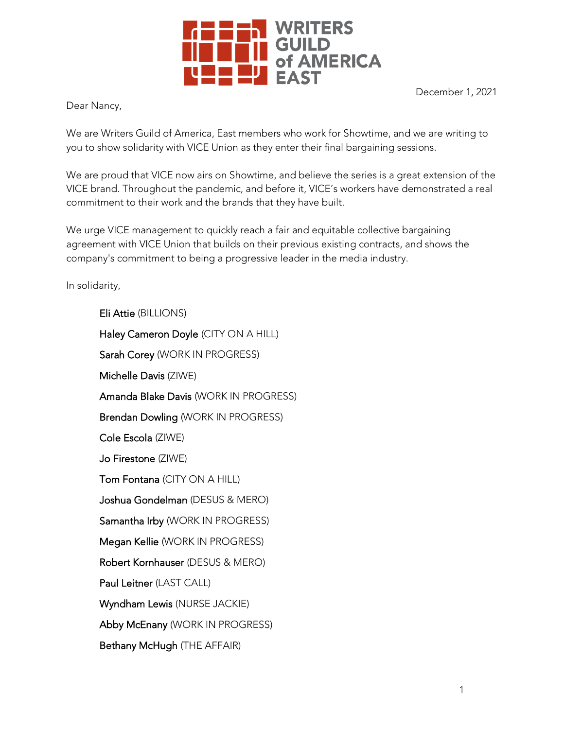

December 1, 2021

Dear Nancy,

We are Writers Guild of America, East members who work for Showtime, and we are writing to you to show solidarity with VICE Union as they enter their final bargaining sessions.

We are proud that VICE now airs on Showtime, and believe the series is a great extension of the VICE brand. Throughout the pandemic, and before it, VICE's workers have demonstrated a real commitment to their work and the brands that they have built.

We urge VICE management to quickly reach a fair and equitable collective bargaining agreement with VICE Union that builds on their previous existing contracts, and shows the company's commitment to being a progressive leader in the media industry.

In solidarity,

Eli Attie (BILLIONS) Haley Cameron Doyle (CITY ON A HILL) Sarah Corey (WORK IN PROGRESS) Michelle Davis (ZIWE) Amanda Blake Davis (WORK IN PROGRESS) Brendan Dowling (WORK IN PROGRESS) Cole Escola (ZIWE) Jo Firestone (ZIWE) Tom Fontana (CITY ON A HILL) Joshua Gondelman (DESUS & MERO) Samantha Irby (WORK IN PROGRESS) Megan Kellie (WORK IN PROGRESS) Robert Kornhauser (DESUS & MERO) Paul Leitner (LAST CALL) Wyndham Lewis (NURSE JACKIE) Abby McEnany (WORK IN PROGRESS) Bethany McHugh (THE AFFAIR)